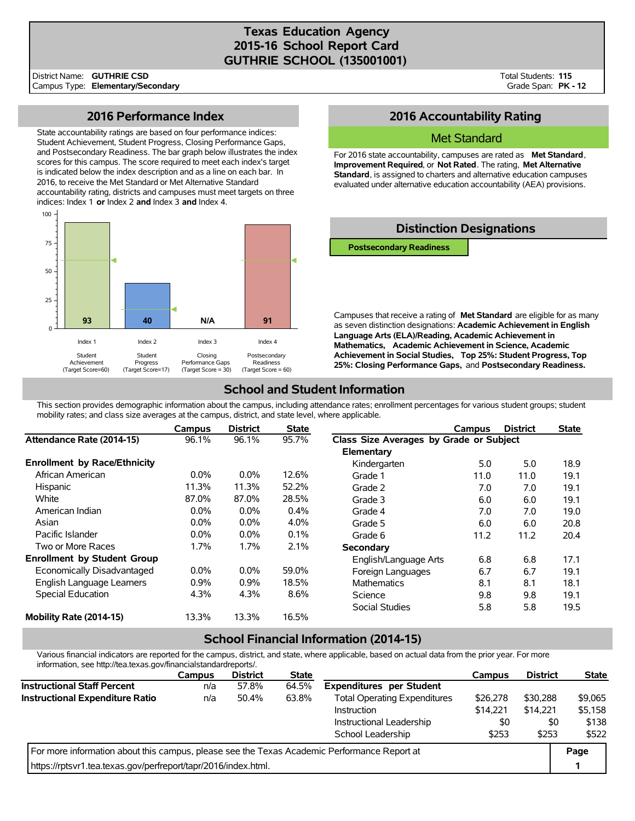### **Texas Education Agency 2015-16 School Report Card GUTHRIE SCHOOL (135001001)**

District Name: Campus Type: **Elementary/Secondary GUTHRIE CSD**

Total Students: **115** Grade Span: **PK - 12**

### **2016 Performance Index**

State accountability ratings are based on four performance indices: Student Achievement, Student Progress, Closing Performance Gaps, and Postsecondary Readiness. The bar graph below illustrates the index scores for this campus. The score required to meet each index's target is indicated below the index description and as a line on each bar. In 2016, to receive the Met Standard or Met Alternative Standard accountability rating, districts and campuses must meet targets on three indices: Index 1 **or** Index 2 **and** Index 3 **and** Index 4.



# **2016 Accountability Rating**

#### Met Standard

For 2016 state accountability, campuses are rated as **Met Standard**, **Improvement Required**, or **Not Rated**. The rating, **Met Alternative Standard**, is assigned to charters and alternative education campuses evaluated under alternative education accountability (AEA) provisions.



**Language Arts (ELA)/Reading, Academic Achievement in Mathematics, Academic Achievement in Science, Academic Achievement in Social Studies, Top 25%: Student Progress, Top 25%: Closing Performance Gaps,** and **Postsecondary Readiness.**

# **School and Student Information**

This section provides demographic information about the campus, including attendance rates; enrollment percentages for various student groups; student mobility rates; and class size averages at the campus, district, and state level, where applicable.

|                                     | Campus  | <b>District</b> | <b>State</b> |                                         | Campus | <b>District</b> | <b>State</b> |
|-------------------------------------|---------|-----------------|--------------|-----------------------------------------|--------|-----------------|--------------|
| Attendance Rate (2014-15)           | 96.1%   | 96.1%           | 95.7%        | Class Size Averages by Grade or Subject |        |                 |              |
|                                     |         |                 |              | Elementary                              |        |                 |              |
| <b>Enrollment by Race/Ethnicity</b> |         |                 |              | Kindergarten                            | 5.0    | 5.0             | 18.9         |
| African American                    | $0.0\%$ | $0.0\%$         | 12.6%        | Grade 1                                 | 11.0   | 11.0            | 19.1         |
| Hispanic                            | 11.3%   | 11.3%           | 52.2%        | Grade 2                                 | 7.0    | 7.0             | 19.1         |
| White                               | 87.0%   | 87.0%           | 28.5%        | Grade 3                                 | 6.0    | 6.0             | 19.1         |
| American Indian                     | $0.0\%$ | $0.0\%$         | 0.4%         | Grade 4                                 | 7.0    | 7.0             | 19.0         |
| Asian                               | $0.0\%$ | $0.0\%$         | 4.0%         | Grade 5                                 | 6.0    | 6.0             | 20.8         |
| Pacific Islander                    | $0.0\%$ | $0.0\%$         | 0.1%         | Grade 6                                 | 11.2   | 11.2            | 20.4         |
| Two or More Races                   | 1.7%    | 1.7%            | 2.1%         | Secondary                               |        |                 |              |
| <b>Enrollment by Student Group</b>  |         |                 |              | English/Language Arts                   | 6.8    | 6.8             | 17.1         |
| Economically Disadvantaged          | $0.0\%$ | $0.0\%$         | 59.0%        | Foreign Languages                       | 6.7    | 6.7             | 19.1         |
| English Language Learners           | 0.9%    | $0.9\%$         | 18.5%        | <b>Mathematics</b>                      | 8.1    | 8.1             | 18.1         |
| Special Education                   | 4.3%    | 4.3%            | 8.6%         | Science                                 | 9.8    | 9.8             | 19.1         |
|                                     |         |                 |              | Social Studies                          | 5.8    | 5.8             | 19.5         |
| Mobility Rate (2014-15)             | 13.3%   | 13.3%           | 16.5%        |                                         |        |                 |              |

## **School Financial Information (2014-15)**

Various financial indicators are reported for the campus, district, and state, where applicable, based on actual data from the prior year. For more information, see http://tea.texas.gov/financialstandardreports/.

|                                                                                             | <b>Campus</b> | <b>District</b> | <b>State</b> |                                     | <b>Campus</b> | <b>District</b> | <b>State</b> |  |
|---------------------------------------------------------------------------------------------|---------------|-----------------|--------------|-------------------------------------|---------------|-----------------|--------------|--|
| <b>Instructional Staff Percent</b>                                                          | n/a           | 57.8%           | 64.5%        | <b>Expenditures per Student</b>     |               |                 |              |  |
| <b>Instructional Expenditure Ratio</b>                                                      | n/a           | 50.4%           | 63.8%        | <b>Total Operating Expenditures</b> | \$26,278      | \$30,288        | \$9,065      |  |
|                                                                                             |               |                 |              | Instruction                         | \$14,221      | \$14.221        | \$5,158      |  |
|                                                                                             |               |                 |              | Instructional Leadership            | \$0           | \$0             | \$138        |  |
|                                                                                             |               | \$253           | \$253        | \$522                               |               |                 |              |  |
| For more information about this campus, please see the Texas Academic Performance Report at |               |                 |              |                                     |               |                 |              |  |
| https://rptsvr1.tea.texas.gov/perfreport/tapr/2016/index.html.                              |               |                 |              |                                     |               |                 |              |  |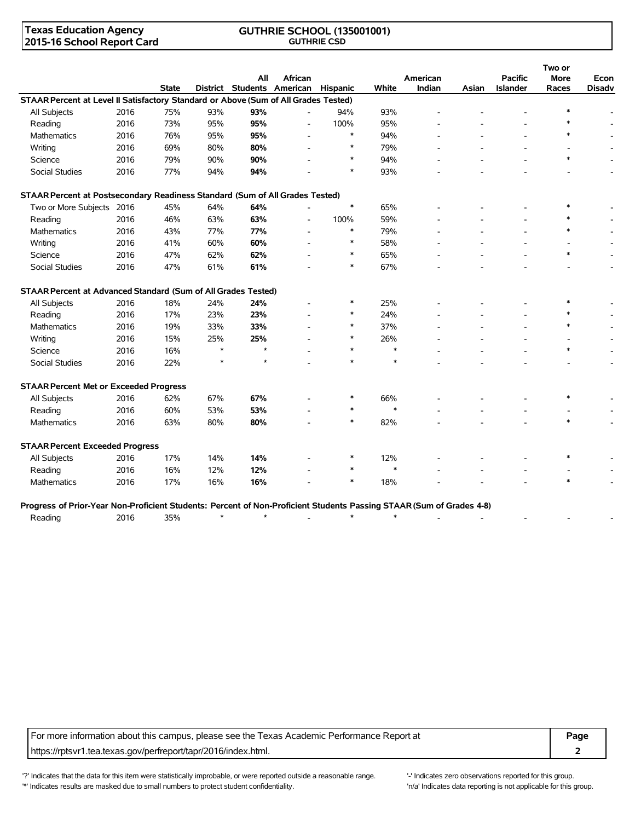### **Texas Education Agency 2015-16 School Report Card**

#### **GUTHRIE SCHOOL (135001001) GUTHRIE CSD**

|                                                                                                                      |      |              |        |                            |                |          |        |          |       |                 | Two or      |               |
|----------------------------------------------------------------------------------------------------------------------|------|--------------|--------|----------------------------|----------------|----------|--------|----------|-------|-----------------|-------------|---------------|
|                                                                                                                      |      |              |        | All                        | African        |          |        | American |       | <b>Pacific</b>  | <b>More</b> | Econ          |
|                                                                                                                      |      | <b>State</b> |        | District Students American |                | Hispanic | White  | Indian   | Asian | <b>Islander</b> | Races       | <b>Disady</b> |
| STAAR Percent at Level II Satisfactory Standard or Above (Sum of All Grades Tested)                                  |      |              |        |                            |                |          |        |          |       |                 |             |               |
| All Subjects                                                                                                         | 2016 | 75%          | 93%    | 93%                        |                | 94%      | 93%    |          |       |                 |             |               |
| Reading                                                                                                              | 2016 | 73%          | 95%    | 95%                        |                | 100%     | 95%    |          |       |                 | $\ast$      |               |
| Mathematics                                                                                                          | 2016 | 76%          | 95%    | 95%                        |                | $\ast$   | 94%    |          |       |                 | $\ast$      |               |
| Writing                                                                                                              | 2016 | 69%          | 80%    | 80%                        |                | $\ast$   | 79%    |          |       |                 |             |               |
| Science                                                                                                              | 2016 | 79%          | 90%    | 90%                        |                | $\ast$   | 94%    |          |       |                 | $\ast$      |               |
| Social Studies                                                                                                       | 2016 | 77%          | 94%    | 94%                        |                | $\ast$   | 93%    |          |       |                 |             |               |
| STAAR Percent at Postsecondary Readiness Standard (Sum of All Grades Tested)                                         |      |              |        |                            |                |          |        |          |       |                 |             |               |
| Two or More Subjects 2016                                                                                            |      | 45%          | 64%    | 64%                        |                | $\ast$   | 65%    |          |       |                 | $\ast$      |               |
| Reading                                                                                                              | 2016 | 46%          | 63%    | 63%                        | $\overline{a}$ | 100%     | 59%    |          |       |                 |             |               |
| Mathematics                                                                                                          | 2016 | 43%          | 77%    | 77%                        |                | $\ast$   | 79%    |          |       |                 | $\ast$      |               |
| Writing                                                                                                              | 2016 | 41%          | 60%    | 60%                        |                | $\ast$   | 58%    |          |       |                 |             |               |
| Science                                                                                                              | 2016 | 47%          | 62%    | 62%                        |                | $\ast$   | 65%    |          |       |                 | $\ast$      |               |
| <b>Social Studies</b>                                                                                                | 2016 | 47%          | 61%    | 61%                        |                | $\ast$   | 67%    |          |       |                 |             |               |
| STAAR Percent at Advanced Standard (Sum of All Grades Tested)                                                        |      |              |        |                            |                |          |        |          |       |                 |             |               |
| All Subjects                                                                                                         | 2016 | 18%          | 24%    | 24%                        |                | $\ast$   | 25%    |          |       |                 | $\ast$      |               |
| Reading                                                                                                              | 2016 | 17%          | 23%    | 23%                        |                | ∗        | 24%    |          |       |                 | $\ast$      |               |
| Mathematics                                                                                                          | 2016 | 19%          | 33%    | 33%                        |                | $\ast$   | 37%    |          |       |                 | $\ast$      |               |
| Writing                                                                                                              | 2016 | 15%          | 25%    | 25%                        |                | $\ast$   | 26%    |          |       |                 |             |               |
| Science                                                                                                              | 2016 | 16%          | $\ast$ | $\star$                    |                | $\ast$   | $\ast$ |          |       |                 | $\ast$      |               |
| <b>Social Studies</b>                                                                                                | 2016 | 22%          | $\ast$ | $\star$                    |                | $\ast$   | $\ast$ |          |       |                 |             |               |
| <b>STAAR Percent Met or Exceeded Progress</b>                                                                        |      |              |        |                            |                |          |        |          |       |                 |             |               |
| All Subjects                                                                                                         | 2016 | 62%          | 67%    | 67%                        |                | $\ast$   | 66%    |          |       |                 | $\ast$      |               |
| Reading                                                                                                              | 2016 | 60%          | 53%    | 53%                        |                | $\ast$   | $\ast$ |          |       |                 |             |               |
| <b>Mathematics</b>                                                                                                   | 2016 | 63%          | 80%    | 80%                        |                | $\ast$   | 82%    |          |       |                 | $\ast$      |               |
| <b>STAAR Percent Exceeded Progress</b>                                                                               |      |              |        |                            |                |          |        |          |       |                 |             |               |
| All Subjects                                                                                                         | 2016 | 17%          | 14%    | 14%                        |                | $\ast$   | 12%    |          |       |                 | $\ast$      |               |
| Reading                                                                                                              | 2016 | 16%          | 12%    | 12%                        |                | $\ast$   | $\ast$ |          |       |                 |             |               |
| <b>Mathematics</b>                                                                                                   | 2016 | 17%          | 16%    | 16%                        |                | $\ast$   | 18%    |          |       |                 | $\ast$      |               |
| Progress of Prior-Year Non-Proficient Students: Percent of Non-Proficient Students Passing STAAR (Sum of Grades 4-8) |      |              |        |                            |                |          |        |          |       |                 |             |               |
| Reading                                                                                                              | 2016 | 35%          | $\ast$ | $\star$                    |                | $\ast$   | $\ast$ |          |       |                 |             |               |

For more information about this campus, please see the Texas Academic Performance Report at **Page** https://rptsvr1.tea.texas.gov/perfreport/tapr/2016/index.html. **2**

'?' Indicates that the data for this item were statistically improbable, or were reported outside a reasonable range. '' Indicates zero observations reported for this group. '\*' Indicates results are masked due to small numbers to protect student confidentiality. Moreover the student confidentiality is not applicable for this group.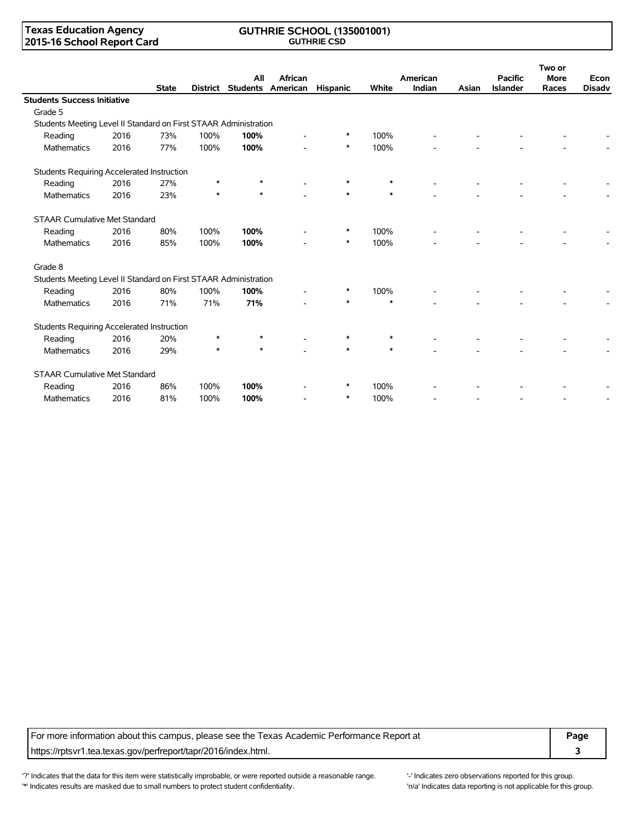### **Texas Education Agency 2015-16 School Report Card**

#### **GUTHRIE SCHOOL (135001001) GUTHRIE CSD**

|                                                                  |      |              |        |         |                                       |          |        |                    |       |                                   | Two or               |                       |
|------------------------------------------------------------------|------|--------------|--------|---------|---------------------------------------|----------|--------|--------------------|-------|-----------------------------------|----------------------|-----------------------|
|                                                                  |      | <b>State</b> |        | All     | African<br>District Students American | Hispanic | White  | American<br>Indian | Asian | <b>Pacific</b><br><b>Islander</b> | <b>More</b><br>Races | Econ<br><b>Disadv</b> |
| <b>Students Success Initiative</b>                               |      |              |        |         |                                       |          |        |                    |       |                                   |                      |                       |
| Grade 5                                                          |      |              |        |         |                                       |          |        |                    |       |                                   |                      |                       |
| Students Meeting Level II Standard on First STAAR Administration |      |              |        |         |                                       |          |        |                    |       |                                   |                      |                       |
| Reading                                                          | 2016 | 73%          | 100%   | 100%    |                                       | *        | 100%   |                    |       |                                   |                      |                       |
| Mathematics                                                      | 2016 | 77%          | 100%   | 100%    |                                       | $\ast$   | 100%   |                    |       |                                   |                      |                       |
| Students Requiring Accelerated Instruction                       |      |              |        |         |                                       |          |        |                    |       |                                   |                      |                       |
| Reading                                                          | 2016 | 27%          | $\ast$ |         |                                       | *        | $\ast$ |                    |       |                                   |                      |                       |
| <b>Mathematics</b>                                               | 2016 | 23%          |        | $\star$ |                                       | $\ast$   | $\ast$ |                    |       |                                   |                      |                       |
| <b>STAAR Cumulative Met Standard</b>                             |      |              |        |         |                                       |          |        |                    |       |                                   |                      |                       |
| Reading                                                          | 2016 | 80%          | 100%   | 100%    |                                       | $\ast$   | 100%   |                    |       |                                   |                      |                       |
| <b>Mathematics</b>                                               | 2016 | 85%          | 100%   | 100%    |                                       | $\ast$   | 100%   |                    |       |                                   |                      |                       |
| Grade 8                                                          |      |              |        |         |                                       |          |        |                    |       |                                   |                      |                       |
| Students Meeting Level II Standard on First STAAR Administration |      |              |        |         |                                       |          |        |                    |       |                                   |                      |                       |
| Reading                                                          | 2016 | 80%          | 100%   | 100%    |                                       | $\ast$   | 100%   |                    |       |                                   |                      |                       |
| <b>Mathematics</b>                                               | 2016 | 71%          | 71%    | 71%     |                                       | $\ast$   | $\ast$ |                    |       |                                   |                      |                       |
| Students Requiring Accelerated Instruction                       |      |              |        |         |                                       |          |        |                    |       |                                   |                      |                       |
| Reading                                                          | 2016 | 20%          | $\ast$ |         |                                       |          | ∗      |                    |       |                                   |                      |                       |
| <b>Mathematics</b>                                               | 2016 | 29%          | $\ast$ | $\star$ |                                       | $\ast$   | $\ast$ |                    |       |                                   |                      |                       |
| <b>STAAR Cumulative Met Standard</b>                             |      |              |        |         |                                       |          |        |                    |       |                                   |                      |                       |
| Reading                                                          | 2016 | 86%          | 100%   | 100%    |                                       | *        | 100%   |                    |       |                                   |                      |                       |
| <b>Mathematics</b>                                               | 2016 | 81%          | 100%   | 100%    |                                       | $\ast$   | 100%   |                    |       |                                   |                      |                       |

For more information about this campus, please see the Texas Academic Performance Report at **Page** https://rptsvr1.tea.texas.gov/perfreport/tapr/2016/index.html. **3**

'?' Indicates that the data for this item were statistically improbable, or were reported outside a reasonable range. '-' Indicates zero observations reported for this group. '\*' Indicates results are masked due to small numbers to protect student confidentiality. Moreover the student of the student confidentiality.